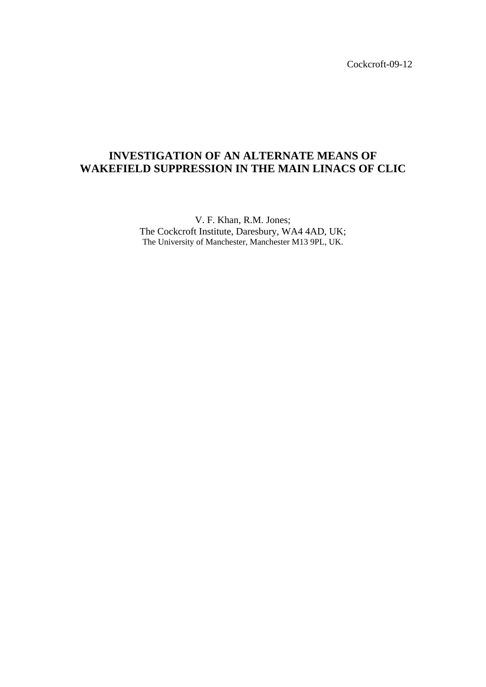Cockcroft-09-12

# **INVESTIGATION OF AN ALTERNATE MEANS OF WAKEFIELD SUPPRESSION IN THE MAIN LINACS OF CLIC**

V. F. Khan, R.M. Jones; The Cockcroft Institute, Daresbury, WA4 4AD, UK; The University of Manchester, Manchester M13 9PL, UK.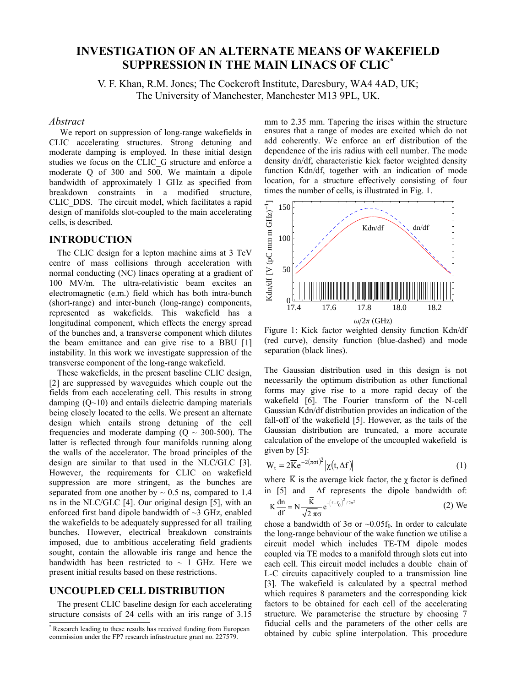# **I1VESTIGATIO1 OF A1 ALTER1ATE MEA1S OF WAKEFIELD SUPPRESSIO1 I1 THE MAI1 LI1ACS OF CLIC\***

V. F. Khan, R.M. Jones; The Cockcroft Institute, Daresbury, WA4 4AD, UK; The University of Manchester, Manchester M13 9PL, UK.

#### *Abstract*

 We report on suppression of long-range wakefields in CLIC accelerating structures. Strong detuning and moderate damping is employed. In these initial design studies we focus on the CLIC\_G structure and enforce a moderate Q of 300 and 500. We maintain a dipole bandwidth of approximately 1 GHz as specified from breakdown constraints in a modified structure, CLIC\_DDS. The circuit model, which facilitates a rapid design of manifolds slot-coupled to the main accelerating cells, is described.

### **I1TRODUCTIO1**

The CLIC design for a lepton machine aims at 3 TeV centre of mass collisions through acceleration with normal conducting (NC) linacs operating at a gradient of 100 MV/m. The ultra-relativistic beam excites an electromagnetic (e.m.) field which has both intra-bunch (short-range) and inter-bunch (long-range) components, represented as wakefields. This wakefield has a longitudinal component, which effects the energy spread of the bunches and, a transverse component which dilutes the beam emittance and can give rise to a BBU [1] instability. In this work we investigate suppression of the transverse component of the long-range wakefield.

These wakefields, in the present baseline CLIC design, [2] are suppressed by waveguides which couple out the fields from each accelerating cell. This results in strong damping  $(O~10)$  and entails dielectric damping materials being closely located to the cells. We present an alternate design which entails strong detuning of the cell frequencies and moderate damping  $(O \sim 300-500)$ . The latter is reflected through four manifolds running along the walls of the accelerator. The broad principles of the design are similar to that used in the NLC/GLC [3]. However, the requirements for CLIC on wakefield suppression are more stringent, as the bunches are separated from one another by  $\sim 0.5$  ns, compared to 1.4 ns in the NLC/GLC [4]. Our original design [5], with an enforced first band dipole bandwidth of ~3 GHz, enabled the wakefields to be adequately suppressed for all trailing bunches. However, electrical breakdown constraints imposed, due to ambitious accelerating field gradients sought, contain the allowable iris range and hence the bandwidth has been restricted to  $\sim$  1 GHz. Here we present initial results based on these restrictions.

### **U1COUPLED CELL DISTRIBUTIO1**

The present CLIC baseline design for each accelerating structure consists of 24 cells with an iris range of 3.15

commission under the FP7 research infrastructure grant no. 227579.

mm to 2.35 mm. Tapering the irises within the structure ensures that a range of modes are excited which do not add coherently. We enforce an erf distribution of the dependence of the iris radius with cell number. The mode density dn/df, characteristic kick factor weighted density function Kdn/df, together with an indication of mode location, for a structure effectively consisting of four times the number of cells, is illustrated in Fig. 1.



Figure 1: Kick factor weighted density function Kdn/df (red curve), density function (blue-dashed) and mode separation (black lines).

The Gaussian distribution used in this design is not necessarily the optimum distribution as other functional forms may give rise to a more rapid decay of the wakefield [6]. The Fourier transform of the N-cell Gaussian Kdn/df distribution provides an indication of the fall-off of the wakefield [5]. However, as the tails of the Gaussian distribution are truncated, a more accurate calculation of the envelope of the uncoupled wakefield is given by [5]:

$$
W_t = 2\overline{K}e^{-2(\pi\sigma t)^2}|\chi(t,\Delta f)|
$$
 (1)

where  $\overline{K}$  is the average kick factor, the  $\chi$  factor is defined in  $[5]$  and  $\Delta f$  represents the dipole bandwidth of:

$$
K\frac{dn}{df} = N\frac{\overline{K}}{\sqrt{2\pi}\sigma}e^{-\left(f-f_0\right)^2/2\sigma^2}
$$
 (2) We

chose a bandwidth of  $3\sigma$  or  $\sim 0.05f_0$ . In order to calculate the long-range behaviour of the wake function we utilise a circuit model which includes TE-TM dipole modes coupled via TE modes to a manifold through slots cut into each cell. This circuit model includes a double chain of L-C circuits capacitively coupled to a transmission line [3]. The wakefield is calculated by a spectral method which requires 8 parameters and the corresponding kick factors to be obtained for each cell of the accelerating structure. We parameterise the structure by choosing 7 fiducial cells and the parameters of the other cells are Research leading to these results has received funding from European<br>commission under the EP7 research infrastructure grant no 227579 obtained by cubic spline interpolation. This procedure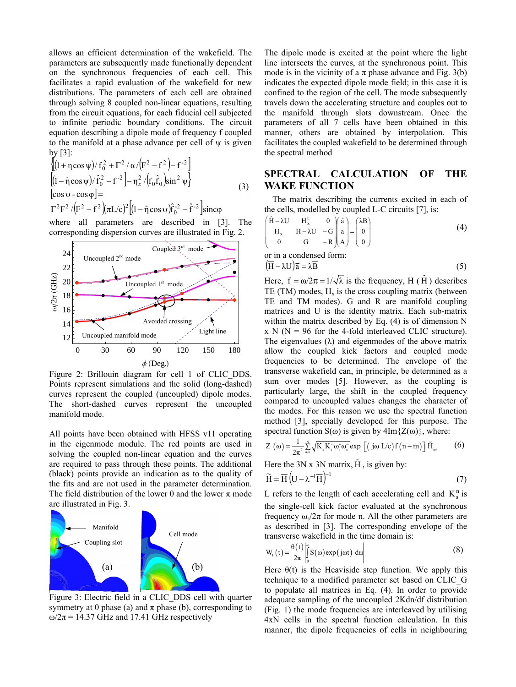allows an efficient determination of the wakefield. The parameters are subsequently made functionally dependent on the synchronous frequencies of each cell. This facilitates a rapid evaluation of the wakefield for new distributions. The parameters of each cell are obtained through solving 8 coupled non-linear equations, resulting from the circuit equations, for each fiducial cell subjected to infinite periodic boundary conditions. The circuit equation describing a dipole mode of frequency f coupled to the manifold at a phase advance per cell of ψ is given by [3]:

$$
\begin{aligned}\n&\left\{ \left(1 + \eta \cos \psi\right) / f_0^2 + \Gamma^2 / \alpha / \left(F^2 - f^2\right) - f^{-2} \right\} \\
&\left[ (1 - \hat{\eta} \cos \psi) / \hat{f}_0^2 - f^{-2} \right] - \eta_x^2 / \left( f_0 \hat{f}_0 \right) \sin^2 \psi \right\} \\
&\left[ \cos \psi - \cos \phi \right] = \\
&\Gamma^2 F^2 / \left( F^2 - f^2 \right) \left( \pi L/c \right)^2 \left[ (1 - \hat{\eta} \cos \psi) \hat{f}_0^2 - \hat{f}^{-2} \right] \text{sinc}\varphi\n\end{aligned} \tag{3}
$$

where all parameters are described in [3]. The corresponding dispersion curves are illustrated in Fig. 2.



Figure 2: Brillouin diagram for cell 1 of CLIC\_DDS. Points represent simulations and the solid (long-dashed) curves represent the coupled (uncoupled) dipole modes. The short-dashed curves represent the uncoupled manifold mode.

All points have been obtained with HFSS v11 operating in the eigenmode module. The red points are used in solving the coupled non-linear equation and the curves are required to pass through these points. The additional (black) points provide an indication as to the quality of the fits and are not used in the parameter determination. The field distribution of the lower 0 and the lower  $\pi$  mode are illustrated in Fig. 3.



 Figure 3: Electric field in a CLIC\_DDS cell with quarter symmetry at 0 phase (a) and  $\pi$  phase (b), corresponding to  $ω/2π = 14.37$  GHz and 17.41 GHz respectively

The dipole mode is excited at the point where the light line intersects the curves, at the synchronous point. This mode is in the vicinity of a  $\pi$  phase advance and Fig. 3(b) indicates the expected dipole mode field; in this case it is confined to the region of the cell. The mode subsequently travels down the accelerating structure and couples out to the manifold through slots downstream. Once the parameters of all 7 cells have been obtained in this manner, others are obtained by interpolation. This facilitates the coupled wakefield to be determined through the spectral method

## **SPECTRAL CALCULATIO1 OF THE WAKE FUNCTION**

The matrix describing the currents excited in each of the cells, modelled by coupled L-C circuits [7], is:

$$
\begin{pmatrix}\n\hat{H} - \lambda U & H_x^{\dagger} & 0 \\
H_x & H - \lambda U & -G \\
0 & G & -R \end{pmatrix} \begin{pmatrix} \hat{a} \\ a \\ A \end{pmatrix} = \begin{pmatrix} \lambda B \\ 0 \\ 0 \end{pmatrix}
$$
\n(4)

or in a condensed form:  
\n
$$
(\overline{H} - \lambda U)\overline{a} = \lambda \overline{B}
$$
\n(5)

Here,  $f = \omega/2\pi = 1/\sqrt{\lambda}$  is the frequency, H ( $\hat{H}$ ) describes TE (TM) modes,  $H_x$  is the cross coupling matrix (between TE and TM modes). G and R are manifold coupling matrices and U is the identity matrix. Each sub-matrix within the matrix described by Eq. (4) is of dimension N  $x \text{ N}$  (N = 96 for the 4-fold interleaved CLIC structure). The eigenvalues  $(\lambda)$  and eigenmodes of the above matrix allow the coupled kick factors and coupled mode frequencies to be determined. The envelope of the transverse wakefield can, in principle, be determined as a sum over modes [5]. However, as the coupling is particularly large, the shift in the coupled frequency compared to uncoupled values changes the character of the modes. For this reason we use the spectral function method [3], specially developed for this purpose. The spectral function  $S(\omega)$  is given by  $4Im{Z(\omega)}$ , where:

$$
Z\left(\omega\right) = \frac{1}{2\pi^2} \sum_{n,m}^{N} \sqrt{K_{s}^{n} K_{s}^{m} \omega_{s}^{n} \omega_{s}^{m}} \exp\left[\left(\ j\omega L/c\right) f\left(n-m\right)\right] \tilde{H}_{nm}
$$
 (6)

Here the 3N x 3N matrix,  $\tilde{H}$ , is given by:

$$
\widetilde{H} = \overline{H} \left( U - \lambda^{-1} \overline{H} \right)^{-1}
$$
\n(7)

L refers to the length of each accelerating cell and  $K_s^n$  is the single-cell kick factor evaluated at the synchronous frequency  $\omega_s/2\pi$  for mode n. All the other parameters are as described in [3]. The corresponding envelope of the transverse wakefield in the time domain is:

$$
W_{t}(t) = \frac{\theta(t)}{2\pi} \left| \int_{0}^{\infty} S(\omega) \exp(j\omega t) d\omega \right|
$$
 (8)

Here  $\theta(t)$  is the Heaviside step function. We apply this technique to a modified parameter set based on CLIC\_G to populate all matrices in Eq. (4). In order to provide adequate sampling of the uncoupled 2Kdn/df distribution (Fig. 1) the mode frequencies are interleaved by utilising 4xN cells in the spectral function calculation. In this manner, the dipole frequencies of cells in neighbouring